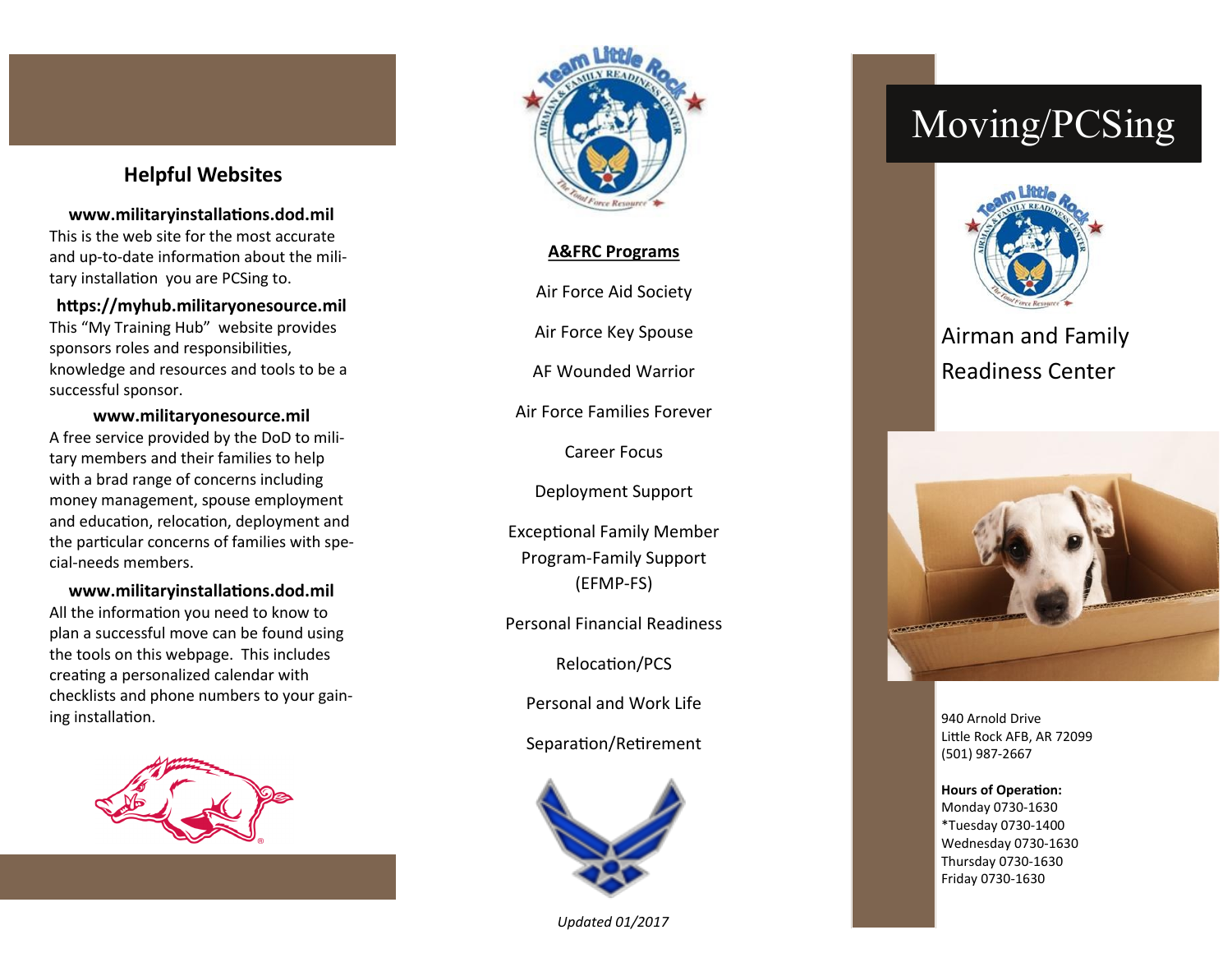## **Helpful Websites**

**www.militaryinstallations.dod.mil** This is the web site for the most accurate and up -to -date information about the military installation you are PCSing to.

**https://myhub.militaryonesource.mil** This "My Training Hub" website provides sponsors roles and responsibilities, knowledge and resources and tools to be a successful sponsor.

**www.militaryonesource.mil** A free service provided by the DoD to military members and their families to help with a brad range of concerns including money management, spouse employment and education, relocation, deployment and the particular concerns of families with special-needs members.

**www.militaryinstallations.dod.mil** All the information you need to know to plan a successful move can be found using the tools on this webpage. This includes creating a personalized calendar with checklists and phone numbers to your gaining installation.





### **A&FRC Programs**

Air Force Aid Society

Air Force Key Spouse

AF Wounded Warrior

Air Force Families Forever

Career Focus

Deployment Support

Exceptional Family Member Program -Family Support (EFMP -FS)

Personal Financial Readiness

Relocation/PCS

Personal and Work Life

Separation/Retirement



*Updated 01/2017*

## Moving/PCSing



## Airman and Family Readiness Center



940 Arnold Drive Little Rock AFB, AR 72099 (501) 987 -2667

#### **Hours of Operation:**

Monday 0730 -1630 \*Tuesday 0730 -1400 Wednesday 0730 -1630 Thursday 0730 -1630 Friday 0730 -1630